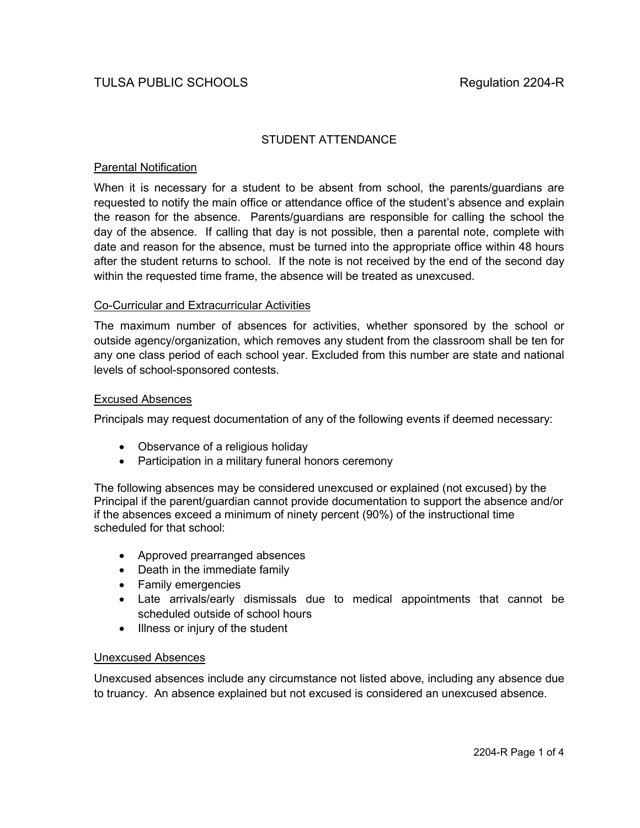# STUDENT ATTENDANCE

# Parental Notification

When it is necessary for a student to be absent from school, the parents/guardians are requested to notify the main office or attendance office of the student's absence and explain the reason for the absence. Parents/guardians are responsible for calling the school the day of the absence. If calling that day is not possible, then a parental note, complete with date and reason for the absence, must be turned into the appropriate office within 48 hours after the student returns to school. If the note is not received by the end of the second day within the requested time frame, the absence will be treated as unexcused.

## Co-Curricular and Extracurricular Activities

The maximum number of absences for activities, whether sponsored by the school or outside agency/organization, which removes any student from the classroom shall be ten for any one class period of each school year. Excluded from this number are state and national levels of school-sponsored contests.

#### Excused Absences

Principals may request documentation of any of the following events if deemed necessary:

- Observance of a religious holiday
- Participation in a military funeral honors ceremony

The following absences may be considered unexcused or explained (not excused) by the Principal if the parent/guardian cannot provide documentation to support the absence and/or if the absences exceed a minimum of ninety percent (90%) of the instructional time scheduled for that school:

- Approved prearranged absences
- Death in the immediate family
- Family emergencies
- Late arrivals/early dismissals due to medical appointments that cannot be scheduled outside of school hours
- Illness or injury of the student

#### Unexcused Absences

Unexcused absences include any circumstance not listed above, including any absence due to truancy. An absence explained but not excused is considered an unexcused absence.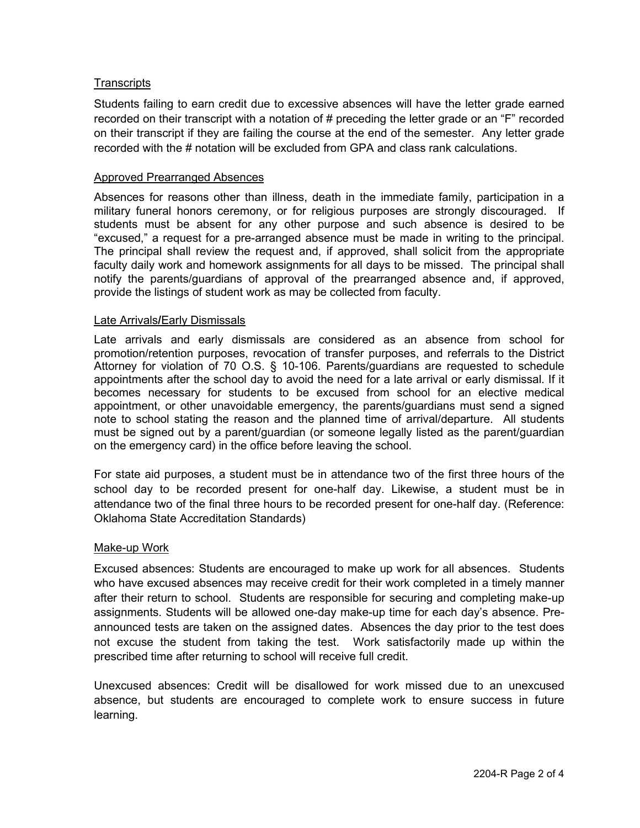## **Transcripts**

Students failing to earn credit due to excessive absences will have the letter grade earned recorded on their transcript with a notation of # preceding the letter grade or an "F" recorded on their transcript if they are failing the course at the end of the semester. Any letter grade recorded with the # notation will be excluded from GPA and class rank calculations.

#### Approved Prearranged Absences

Absences for reasons other than illness, death in the immediate family, participation in a military funeral honors ceremony, or for religious purposes are strongly discouraged. If students must be absent for any other purpose and such absence is desired to be "excused," a request for a pre-arranged absence must be made in writing to the principal. The principal shall review the request and, if approved, shall solicit from the appropriate faculty daily work and homework assignments for all days to be missed. The principal shall notify the parents/guardians of approval of the prearranged absence and, if approved, provide the listings of student work as may be collected from faculty.

#### Late Arrivals**/**Early Dismissals

Late arrivals and early dismissals are considered as an absence from school for promotion/retention purposes, revocation of transfer purposes, and referrals to the District Attorney for violation of 70 O.S. § 10-106. Parents/guardians are requested to schedule appointments after the school day to avoid the need for a late arrival or early dismissal. If it becomes necessary for students to be excused from school for an elective medical appointment, or other unavoidable emergency, the parents/guardians must send a signed note to school stating the reason and the planned time of arrival/departure. All students must be signed out by a parent/guardian (or someone legally listed as the parent/guardian on the emergency card) in the office before leaving the school.

For state aid purposes, a student must be in attendance two of the first three hours of the school day to be recorded present for one-half day. Likewise, a student must be in attendance two of the final three hours to be recorded present for one-half day. (Reference: Oklahoma State Accreditation Standards)

#### Make-up Work

Excused absences: Students are encouraged to make up work for all absences. Students who have excused absences may receive credit for their work completed in a timely manner after their return to school. Students are responsible for securing and completing make-up assignments. Students will be allowed one-day make-up time for each day's absence. Preannounced tests are taken on the assigned dates. Absences the day prior to the test does not excuse the student from taking the test. Work satisfactorily made up within the prescribed time after returning to school will receive full credit.

Unexcused absences: Credit will be disallowed for work missed due to an unexcused absence, but students are encouraged to complete work to ensure success in future learning.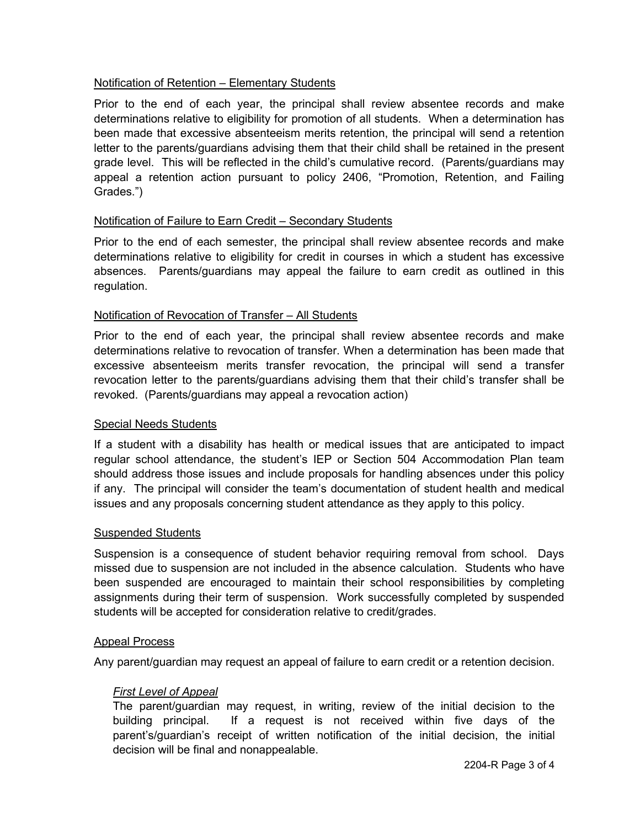# Notification of Retention – Elementary Students

Prior to the end of each year, the principal shall review absentee records and make determinations relative to eligibility for promotion of all students. When a determination has been made that excessive absenteeism merits retention, the principal will send a retention letter to the parents/guardians advising them that their child shall be retained in the present grade level. This will be reflected in the child's cumulative record. (Parents/guardians may appeal a retention action pursuant to policy 2406, "Promotion, Retention, and Failing Grades.")

# Notification of Failure to Earn Credit – Secondary Students

Prior to the end of each semester, the principal shall review absentee records and make determinations relative to eligibility for credit in courses in which a student has excessive absences. Parents/guardians may appeal the failure to earn credit as outlined in this regulation.

# Notification of Revocation of Transfer – All Students

Prior to the end of each year, the principal shall review absentee records and make determinations relative to revocation of transfer. When a determination has been made that excessive absenteeism merits transfer revocation, the principal will send a transfer revocation letter to the parents/guardians advising them that their child's transfer shall be revoked. (Parents/guardians may appeal a revocation action)

# Special Needs Students

If a student with a disability has health or medical issues that are anticipated to impact regular school attendance, the student's IEP or Section 504 Accommodation Plan team should address those issues and include proposals for handling absences under this policy if any. The principal will consider the team's documentation of student health and medical issues and any proposals concerning student attendance as they apply to this policy.

# Suspended Students

Suspension is a consequence of student behavior requiring removal from school. Days missed due to suspension are not included in the absence calculation. Students who have been suspended are encouraged to maintain their school responsibilities by completing assignments during their term of suspension. Work successfully completed by suspended students will be accepted for consideration relative to credit/grades.

# Appeal Process

Any parent/guardian may request an appeal of failure to earn credit or a retention decision.

# *First Level of Appeal*

The parent/guardian may request, in writing, review of the initial decision to the building principal. If a request is not received within five days of the parent's/guardian's receipt of written notification of the initial decision, the initial decision will be final and nonappealable.